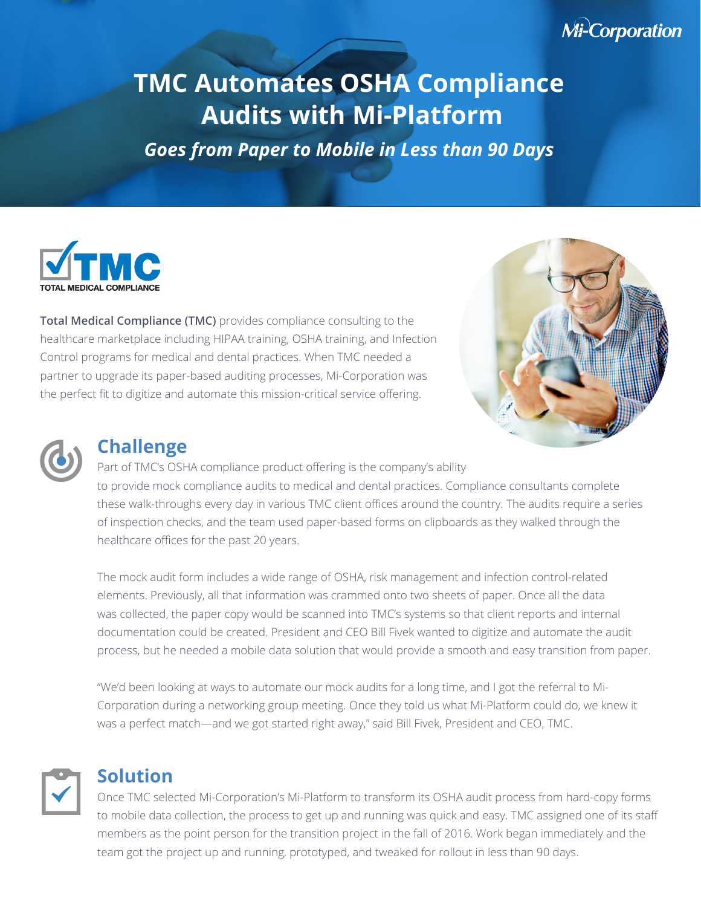# **Mi-Corporation**

# **TMC Automates OSHA Compliance Audits with Mi-Platform**

*Goes from Paper to Mobile in Less than 90 Days*



**Total Medical Compliance (TMC)** provides compliance consulting to the healthcare marketplace including HIPAA training, OSHA training, and Infection Control programs for medical and dental practices. When TMC needed a partner to upgrade its paper-based auditing processes, Mi-Corporation was the perfect fit to digitize and automate this mission-critical service offering.



### **Challenge**

Part of TMC's OSHA compliance product offering is the company's ability to provide mock compliance audits to medical and dental practices. Compliance consultants complete these walk-throughs every day in various TMC client offices around the country. The audits require a series of inspection checks, and the team used paper-based forms on clipboards as they walked through the healthcare offices for the past 20 years.

The mock audit form includes a wide range of OSHA, risk management and infection control-related elements. Previously, all that information was crammed onto two sheets of paper. Once all the data was collected, the paper copy would be scanned into TMC's systems so that client reports and internal documentation could be created. President and CEO Bill Fivek wanted to digitize and automate the audit process, but he needed a mobile data solution that would provide a smooth and easy transition from paper.

"We'd been looking at ways to automate our mock audits for a long time, and I got the referral to Mi-Corporation during a networking group meeting. Once they told us what Mi-Platform could do, we knew it was a perfect match—and we got started right away," said Bill Fivek, President and CEO, TMC.

## **Solution**

Once TMC selected Mi-Corporation's Mi-Platform to transform its OSHA audit process from hard-copy forms to mobile data collection, the process to get up and running was quick and easy. TMC assigned one of its staff members as the point person for the transition project in the fall of 2016. Work began immediately and the team got the project up and running, prototyped, and tweaked for rollout in less than 90 days.